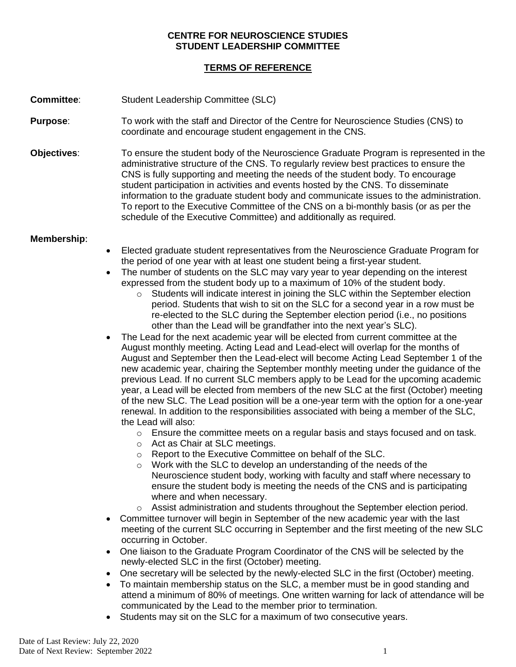## **CENTRE FOR NEUROSCIENCE STUDIES STUDENT LEADERSHIP COMMITTEE**

## **TERMS OF REFERENCE**

**Committee:** Student Leadership Committee (SLC)

- **Purpose:** To work with the staff and Director of the Centre for Neuroscience Studies (CNS) to coordinate and encourage student engagement in the CNS.
- **Objectives**: To ensure the student body of the Neuroscience Graduate Program is represented in the administrative structure of the CNS. To regularly review best practices to ensure the CNS is fully supporting and meeting the needs of the student body. To encourage student participation in activities and events hosted by the CNS. To disseminate information to the graduate student body and communicate issues to the administration. To report to the Executive Committee of the CNS on a bi-monthly basis (or as per the schedule of the Executive Committee) and additionally as required.

## **Membership**:

- Elected graduate student representatives from the Neuroscience Graduate Program for the period of one year with at least one student being a first-year student.
- The number of students on the SLC may vary year to year depending on the interest expressed from the student body up to a maximum of 10% of the student body.
	- o Students will indicate interest in joining the SLC within the September election period. Students that wish to sit on the SLC for a second year in a row must be re-elected to the SLC during the September election period (i.e., no positions other than the Lead will be grandfather into the next year's SLC).
- The Lead for the next academic year will be elected from current committee at the August monthly meeting. Acting Lead and Lead-elect will overlap for the months of August and September then the Lead-elect will become Acting Lead September 1 of the new academic year, chairing the September monthly meeting under the guidance of the previous Lead. If no current SLC members apply to be Lead for the upcoming academic year, a Lead will be elected from members of the new SLC at the first (October) meeting of the new SLC. The Lead position will be a one-year term with the option for a one-year renewal. In addition to the responsibilities associated with being a member of the SLC, the Lead will also:
	- $\circ$  Ensure the committee meets on a regular basis and stays focused and on task.
	- o Act as Chair at SLC meetings.
	- o Report to the Executive Committee on behalf of the SLC.
	- o Work with the SLC to develop an understanding of the needs of the Neuroscience student body, working with faculty and staff where necessary to ensure the student body is meeting the needs of the CNS and is participating where and when necessary.
	- $\circ$  Assist administration and students throughout the September election period.
- Committee turnover will begin in September of the new academic year with the last meeting of the current SLC occurring in September and the first meeting of the new SLC occurring in October.
- One liaison to the Graduate Program Coordinator of the CNS will be selected by the newly-elected SLC in the first (October) meeting.
- One secretary will be selected by the newly-elected SLC in the first (October) meeting.
- To maintain membership status on the SLC, a member must be in good standing and attend a minimum of 80% of meetings. One written warning for lack of attendance will be communicated by the Lead to the member prior to termination.
- Students may sit on the SLC for a maximum of two consecutive years.